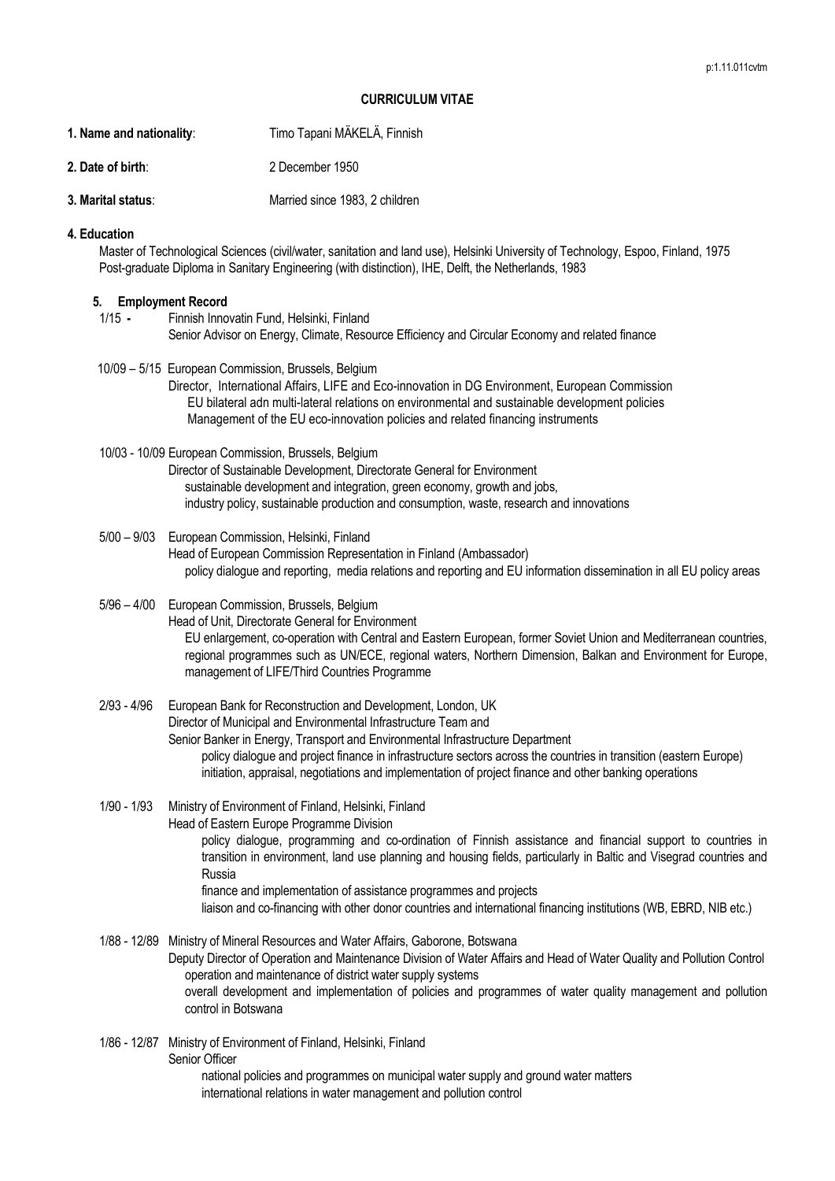## **CURRICULUM VITAE**

- **1. Name and nationality**: Timo Tapani MÄKELÄ, Finnish
- **2. Date of birth**: 2 December 1950
- **3. Marital status:** Married since 1983, 2 children

## **4. Education**

Master of Technological Sciences (civil/water, sanitation and land use), Helsinki University of Technology, Espoo, Finland, 1975 Post-graduate Diploma in Sanitary Engineering (with distinction), IHE, Delft, the Netherlands, 1983

## **5. Employment Record**

- 1/15 **-** Finnish Innovatin Fund, Helsinki, Finland Senior Advisor on Energy, Climate, Resource Efficiency and Circular Economy and related finance
- 10/09 5/15 European Commission, Brussels, Belgium

Director, International Affairs, LIFE and Eco-innovation in DG Environment, European Commission EU bilateral adn multi-lateral relations on environmental and sustainable development policies Management of the EU eco-innovation policies and related financing instruments

10/03 - 10/09 European Commission, Brussels, Belgium

Director of Sustainable Development, Directorate General for Environment sustainable development and integration, green economy, growth and jobs, industry policy, sustainable production and consumption, waste, research and innovations

- 5/00 9/03 European Commission, Helsinki, Finland Head of European Commission Representation in Finland (Ambassador) policy dialogue and reporting, media relations and reporting and EU information dissemination in all EU policy areas
- 5/96 4/00 European Commission, Brussels, Belgium Head of Unit, Directorate General for Environment EU enlargement, co-operation with Central and Eastern European, former Soviet Union and Mediterranean countries, regional programmes such as UN/ECE, regional waters, Northern Dimension, Balkan and Environment for Europe, management of LIFE/Third Countries Programme
- 2/93 4/96 European Bank for Reconstruction and Development, London, UK Director of Municipal and Environmental Infrastructure Team and Senior Banker in Energy, Transport and Environmental Infrastructure Department policy dialogue and project finance in infrastructure sectors across the countries in transition (eastern Europe) initiation, appraisal, negotiations and implementation of project finance and other banking operations
- 1/90 1/93 Ministry of Environment of Finland, Helsinki, Finland Head of Eastern Europe Programme Division policy dialogue, programming and co-ordination of Finnish assistance and financial support to countries in transition in environment, land use planning and housing fields, particularly in Baltic and Visegrad countries and Russia finance and implementation of assistance programmes and projects liaison and co-financing with other donor countries and international financing institutions (WB, EBRD, NIB etc.)
- 1/88 12/89 Ministry of Mineral Resources and Water Affairs, Gaborone, Botswana Deputy Director of Operation and Maintenance Division of Water Affairs and Head of Water Quality and Pollution Control operation and maintenance of district water supply systems overall development and implementation of policies and programmes of water quality management and pollution control in Botswana
- 1/86 12/87 Ministry of Environment of Finland, Helsinki, Finland Senior Officer national policies and programmes on municipal water supply and ground water matters international relations in water management and pollution control